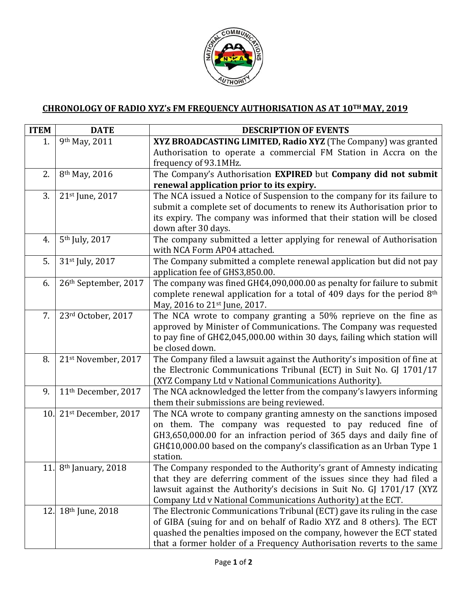

## **CHRONOLOGY OF RADIO XYZ's FM FREQUENCY AUTHORISATION AS AT 10TH MAY, 2019**

| <b>ITEM</b> | <b>DATE</b>                                | <b>DESCRIPTION OF EVENTS</b>                                                                                                                                                                                                                                                                                                                                                                                                                                                                                                                                                               |
|-------------|--------------------------------------------|--------------------------------------------------------------------------------------------------------------------------------------------------------------------------------------------------------------------------------------------------------------------------------------------------------------------------------------------------------------------------------------------------------------------------------------------------------------------------------------------------------------------------------------------------------------------------------------------|
| 1.          | 9th May, 2011                              | XYZ BROADCASTING LIMITED, Radio XYZ (The Company) was granted                                                                                                                                                                                                                                                                                                                                                                                                                                                                                                                              |
|             |                                            | Authorisation to operate a commercial FM Station in Accra on the                                                                                                                                                                                                                                                                                                                                                                                                                                                                                                                           |
|             |                                            | frequency of 93.1MHz.                                                                                                                                                                                                                                                                                                                                                                                                                                                                                                                                                                      |
| 2.          | 8 <sup>th</sup> May, 2016                  | The Company's Authorisation EXPIRED but Company did not submit                                                                                                                                                                                                                                                                                                                                                                                                                                                                                                                             |
|             |                                            | renewal application prior to its expiry.                                                                                                                                                                                                                                                                                                                                                                                                                                                                                                                                                   |
| 3.          | 21st June, 2017                            | The NCA issued a Notice of Suspension to the company for its failure to                                                                                                                                                                                                                                                                                                                                                                                                                                                                                                                    |
|             |                                            | submit a complete set of documents to renew its Authorisation prior to                                                                                                                                                                                                                                                                                                                                                                                                                                                                                                                     |
|             |                                            | its expiry. The company was informed that their station will be closed                                                                                                                                                                                                                                                                                                                                                                                                                                                                                                                     |
|             |                                            | down after 30 days.                                                                                                                                                                                                                                                                                                                                                                                                                                                                                                                                                                        |
| 4.          | 5 <sup>th</sup> July, 2017                 | The company submitted a letter applying for renewal of Authorisation                                                                                                                                                                                                                                                                                                                                                                                                                                                                                                                       |
|             |                                            | with NCA Form AP04 attached.                                                                                                                                                                                                                                                                                                                                                                                                                                                                                                                                                               |
| 5.          | 31st July, 2017                            | The Company submitted a complete renewal application but did not pay                                                                                                                                                                                                                                                                                                                                                                                                                                                                                                                       |
|             |                                            | application fee of GHS3,850.00.                                                                                                                                                                                                                                                                                                                                                                                                                                                                                                                                                            |
| 6.          | 26th September, 2017                       | The company was fined GH¢4,090,000.00 as penalty for failure to submit                                                                                                                                                                                                                                                                                                                                                                                                                                                                                                                     |
|             |                                            | complete renewal application for a total of 409 days for the period $8th$                                                                                                                                                                                                                                                                                                                                                                                                                                                                                                                  |
|             |                                            | May, 2016 to 21st June, 2017.                                                                                                                                                                                                                                                                                                                                                                                                                                                                                                                                                              |
| 7.          | 23rd October, 2017                         | The NCA wrote to company granting a 50% reprieve on the fine as                                                                                                                                                                                                                                                                                                                                                                                                                                                                                                                            |
|             |                                            | approved by Minister of Communications. The Company was requested                                                                                                                                                                                                                                                                                                                                                                                                                                                                                                                          |
|             |                                            | to pay fine of GH¢2,045,000.00 within 30 days, failing which station will                                                                                                                                                                                                                                                                                                                                                                                                                                                                                                                  |
|             |                                            | be closed down.                                                                                                                                                                                                                                                                                                                                                                                                                                                                                                                                                                            |
| 8.          | 21st November, 2017                        | The Company filed a lawsuit against the Authority's imposition of fine at                                                                                                                                                                                                                                                                                                                                                                                                                                                                                                                  |
|             |                                            | the Electronic Communications Tribunal (ECT) in Suit No. GJ 1701/17                                                                                                                                                                                                                                                                                                                                                                                                                                                                                                                        |
|             |                                            | (XYZ Company Ltd v National Communications Authority).                                                                                                                                                                                                                                                                                                                                                                                                                                                                                                                                     |
| 9.          | 11 <sup>th</sup> December, 2017            | The NCA acknowledged the letter from the company's lawyers informing                                                                                                                                                                                                                                                                                                                                                                                                                                                                                                                       |
|             |                                            | them their submissions are being reviewed.                                                                                                                                                                                                                                                                                                                                                                                                                                                                                                                                                 |
| 10.         | 21st December, 2017                        | The NCA wrote to company granting amnesty on the sanctions imposed                                                                                                                                                                                                                                                                                                                                                                                                                                                                                                                         |
|             |                                            | on them. The company was requested to pay reduced fine of                                                                                                                                                                                                                                                                                                                                                                                                                                                                                                                                  |
|             |                                            | GH3,650,000.00 for an infraction period of 365 days and daily fine of                                                                                                                                                                                                                                                                                                                                                                                                                                                                                                                      |
|             |                                            | GH¢10,000.00 based on the company's classification as an Urban Type 1                                                                                                                                                                                                                                                                                                                                                                                                                                                                                                                      |
|             |                                            | station.                                                                                                                                                                                                                                                                                                                                                                                                                                                                                                                                                                                   |
|             |                                            |                                                                                                                                                                                                                                                                                                                                                                                                                                                                                                                                                                                            |
|             |                                            |                                                                                                                                                                                                                                                                                                                                                                                                                                                                                                                                                                                            |
|             |                                            |                                                                                                                                                                                                                                                                                                                                                                                                                                                                                                                                                                                            |
|             |                                            |                                                                                                                                                                                                                                                                                                                                                                                                                                                                                                                                                                                            |
|             |                                            |                                                                                                                                                                                                                                                                                                                                                                                                                                                                                                                                                                                            |
|             |                                            |                                                                                                                                                                                                                                                                                                                                                                                                                                                                                                                                                                                            |
|             |                                            |                                                                                                                                                                                                                                                                                                                                                                                                                                                                                                                                                                                            |
| 12.         | 11. 8th January, 2018<br>$18th$ June, 2018 | The Company responded to the Authority's grant of Amnesty indicating<br>that they are deferring comment of the issues since they had filed a<br>lawsuit against the Authority's decisions in Suit No. GJ 1701/17 (XYZ<br>Company Ltd v National Communications Authority) at the ECT.<br>The Electronic Communications Tribunal (ECT) gave its ruling in the case<br>of GIBA (suing for and on behalf of Radio XYZ and 8 others). The ECT<br>quashed the penalties imposed on the company, however the ECT stated<br>that a former holder of a Frequency Authorisation reverts to the same |